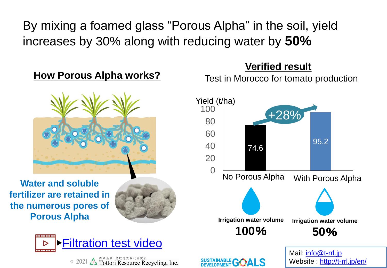By mixing a foamed glass "Porous Alpha" in the soil, yield increases by 30% along with reducing water by **50%**

## **How Porous Alpha works?**



**Water and soluble fertilizer are retained in the numerous pores of Porous Alpha**





<sup>**EXABLE AND SUBARD AND SUBARD Tottori Resource Recycling, Inc.**</sup>

## **Verified result**

Test in Morocco for tomato production

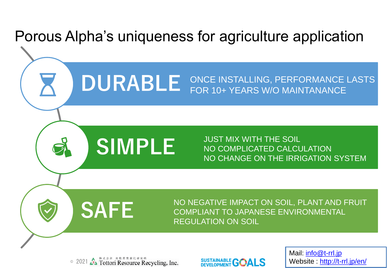



Mail: [info@t-rrl.jp](mailto:info@t-rrl.jp) Website : <http://t-rrl.jp/en/>